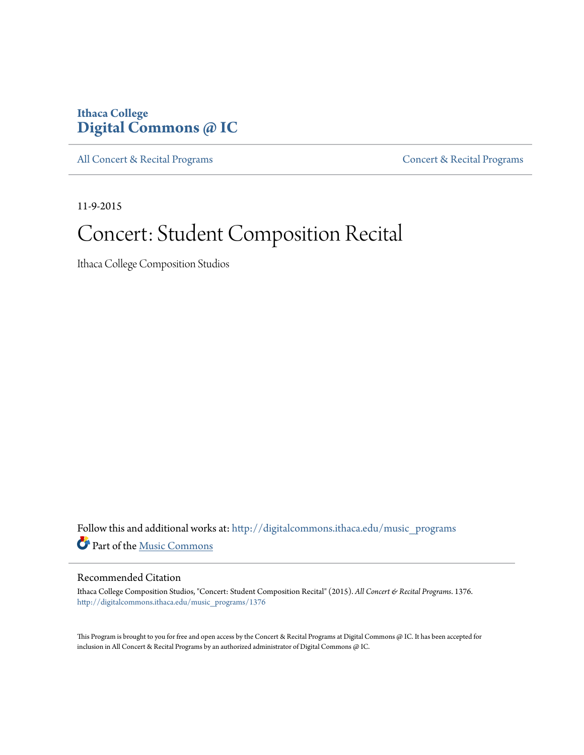## **Ithaca College [Digital Commons @ IC](http://digitalcommons.ithaca.edu?utm_source=digitalcommons.ithaca.edu%2Fmusic_programs%2F1376&utm_medium=PDF&utm_campaign=PDFCoverPages)**

[All Concert & Recital Programs](http://digitalcommons.ithaca.edu/music_programs?utm_source=digitalcommons.ithaca.edu%2Fmusic_programs%2F1376&utm_medium=PDF&utm_campaign=PDFCoverPages) **[Concert & Recital Programs](http://digitalcommons.ithaca.edu/som_programs?utm_source=digitalcommons.ithaca.edu%2Fmusic_programs%2F1376&utm_medium=PDF&utm_campaign=PDFCoverPages)** 

11-9-2015

# Concert: Student Composition Recital

Ithaca College Composition Studios

Follow this and additional works at: [http://digitalcommons.ithaca.edu/music\\_programs](http://digitalcommons.ithaca.edu/music_programs?utm_source=digitalcommons.ithaca.edu%2Fmusic_programs%2F1376&utm_medium=PDF&utm_campaign=PDFCoverPages) Part of the [Music Commons](http://network.bepress.com/hgg/discipline/518?utm_source=digitalcommons.ithaca.edu%2Fmusic_programs%2F1376&utm_medium=PDF&utm_campaign=PDFCoverPages)

#### Recommended Citation

Ithaca College Composition Studios, "Concert: Student Composition Recital" (2015). *All Concert & Recital Programs*. 1376. [http://digitalcommons.ithaca.edu/music\\_programs/1376](http://digitalcommons.ithaca.edu/music_programs/1376?utm_source=digitalcommons.ithaca.edu%2Fmusic_programs%2F1376&utm_medium=PDF&utm_campaign=PDFCoverPages)

This Program is brought to you for free and open access by the Concert & Recital Programs at Digital Commons @ IC. It has been accepted for inclusion in All Concert & Recital Programs by an authorized administrator of Digital Commons @ IC.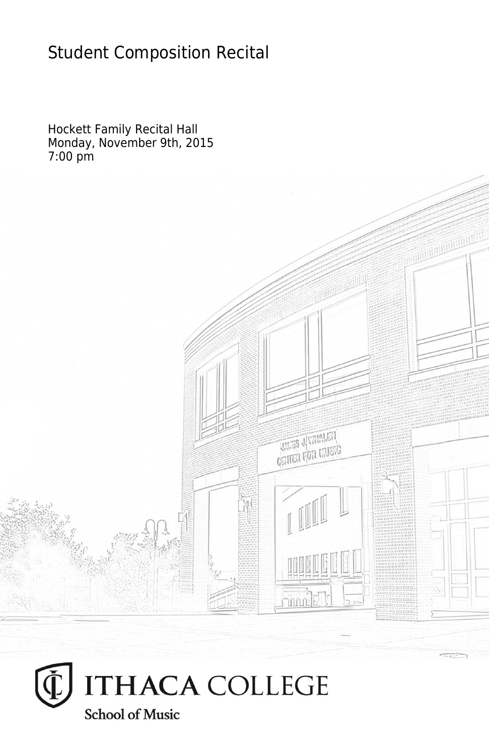## Student Composition Recital

Hockett Family Recital Hall Monday, November 9th, 2015 7:00 pm